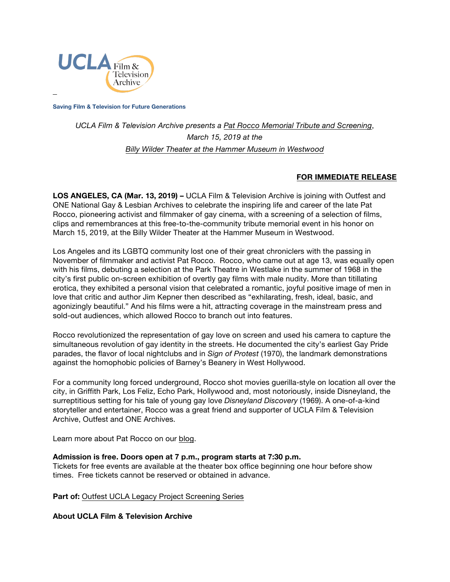

**Saving Film & Television for Future Generations**

## *UCLA Film & Television Archive presents a [Pat Rocco Memorial Tribute and Screening](https://www.cinema.ucla.edu/events/2019/03/15/pat-rocco-tribute)*, *March 15, 2019 at the Billy Wilder Theater [at the Hammer Museum in Westwood](https://www.cinema.ucla.edu/billy-wilder-theater)*

## **FOR IMMEDIATE RELEASE**

**LOS ANGELES, CA (Mar. 13, 2019) –** UCLA Film & Television Archive is joining with Outfest and ONE National Gay & Lesbian Archives to celebrate the inspiring life and career of the late Pat Rocco, pioneering activist and filmmaker of gay cinema, with a screening of a selection of films, clips and remembrances at this free-to-the-community tribute memorial event in his honor on March 15, 2019, at the Billy Wilder Theater at the Hammer Museum in Westwood.

Los Angeles and its LGBTQ community lost one of their great chroniclers with the passing in November of filmmaker and activist Pat Rocco. Rocco, who came out at age 13, was equally open with his films, debuting a selection at the Park Theatre in Westlake in the summer of 1968 in the city's first public on-screen exhibition of overtly gay films with male nudity. More than titillating erotica, they exhibited a personal vision that celebrated a romantic, joyful positive image of men in love that critic and author Jim Kepner then described as "exhilarating, fresh, ideal, basic, and agonizingly beautiful." And his films were a hit, attracting coverage in the mainstream press and sold-out audiences, which allowed Rocco to branch out into features.

Rocco revolutionized the representation of gay love on screen and used his camera to capture the simultaneous revolution of gay identity in the streets. He documented the city's earliest Gay Pride parades, the flavor of local nightclubs and in *Sign of Protest* (1970), the landmark demonstrations against the homophobic policies of Barney's Beanery in West Hollywood.

For a community long forced underground, Rocco shot movies guerilla-style on location all over the city, in Griffith Park, Los Feliz, Echo Park, Hollywood and, most notoriously, inside Disneyland, the surreptitious setting for his tale of young gay love *Disneyland Discovery* (1969). A one-of-a-kind storyteller and entertainer, Rocco was a great friend and supporter of UCLA Film & Television Archive, Outfest and ONE Archives.

Learn more about Pat Rocco on our [blog.](https://www.cinema.ucla.edu/blogs/archive-blog/2018/12/05/pat-rocco-remembrance)

## **Admission is free. Doors open at 7 p.m., program starts at 7:30 p.m.**

Tickets for free events are available at the theater box office beginning one hour before show times. Free tickets cannot be reserved or obtained in advance.

**Part of: [Outfest UCLA Legacy Project Screening Series](https://www.cinema.ucla.edu/events/outfest-ucla-legacy-project-screening-series)** 

**About UCLA Film & Television Archive**